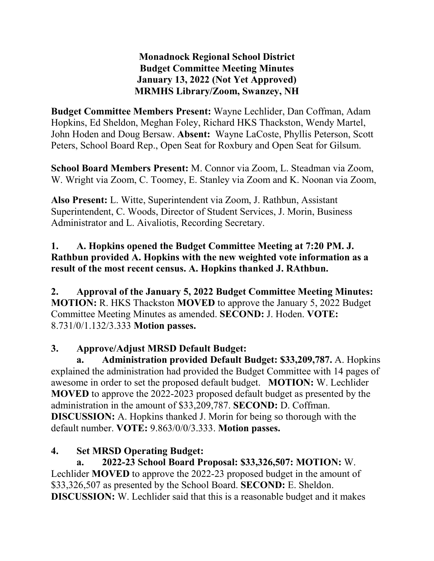**Monadnock Regional School District Budget Committee Meeting Minutes January 13, 2022 (Not Yet Approved) MRMHS Library/Zoom, Swanzey, NH**

**Budget Committee Members Present:** Wayne Lechlider, Dan Coffman, Adam Hopkins, Ed Sheldon, Meghan Foley, Richard HKS Thackston, Wendy Martel, John Hoden and Doug Bersaw. **Absent:** Wayne LaCoste, Phyllis Peterson, Scott Peters, School Board Rep., Open Seat for Roxbury and Open Seat for Gilsum.

**School Board Members Present:** M. Connor via Zoom, L. Steadman via Zoom, W. Wright via Zoom, C. Toomey, E. Stanley via Zoom and K. Noonan via Zoom,

**Also Present:** L. Witte, Superintendent via Zoom, J. Rathbun, Assistant Superintendent, C. Woods, Director of Student Services, J. Morin, Business Administrator and L. Aivaliotis, Recording Secretary.

#### **1. A. Hopkins opened the Budget Committee Meeting at 7:20 PM. J. Rathbun provided A. Hopkins with the new weighted vote information as a result of the most recent census. A. Hopkins thanked J. RAthbun.**

**2. Approval of the January 5, 2022 Budget Committee Meeting Minutes: MOTION:** R. HKS Thackston **MOVED** to approve the January 5, 2022 Budget Committee Meeting Minutes as amended. **SECOND:** J. Hoden. **VOTE:**  8.731/0/1.132/3.333 **Motion passes.** 

### **3. Approve/Adjust MRSD Default Budget:**

**a. Administration provided Default Budget: \$33,209,787.** A. Hopkins explained the administration had provided the Budget Committee with 14 pages of awesome in order to set the proposed default budget. **MOTION:** W. Lechlider **MOVED** to approve the 2022-2023 proposed default budget as presented by the administration in the amount of \$33,209,787. **SECOND:** D. Coffman. **DISCUSSION:** A. Hopkins thanked J. Morin for being so thorough with the default number. **VOTE:** 9.863/0/0/3.333. **Motion passes.** 

# **4. Set MRSD Operating Budget:**

**a. 2022-23 School Board Proposal: \$33,326,507: MOTION:** W. Lechlider **MOVED** to approve the 2022-23 proposed budget in the amount of \$33,326,507 as presented by the School Board. **SECOND:** E. Sheldon. **DISCUSSION:** W. Lechlider said that this is a reasonable budget and it makes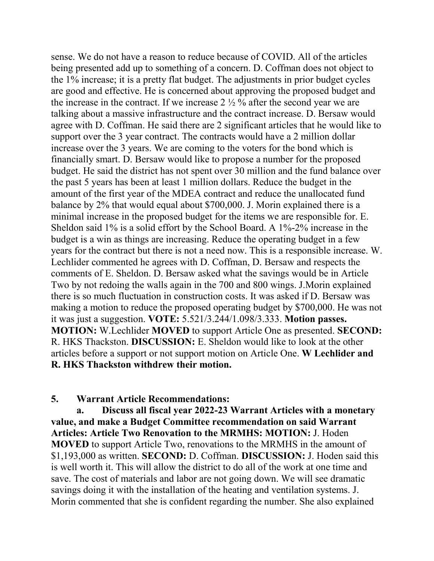sense. We do not have a reason to reduce because of COVID. All of the articles being presented add up to something of a concern. D. Coffman does not object to the 1% increase; it is a pretty flat budget. The adjustments in prior budget cycles are good and effective. He is concerned about approving the proposed budget and the increase in the contract. If we increase  $2\frac{1}{2}$  % after the second year we are talking about a massive infrastructure and the contract increase. D. Bersaw would agree with D. Coffman. He said there are 2 significant articles that he would like to support over the 3 year contract. The contracts would have a 2 million dollar increase over the 3 years. We are coming to the voters for the bond which is financially smart. D. Bersaw would like to propose a number for the proposed budget. He said the district has not spent over 30 million and the fund balance over the past 5 years has been at least 1 million dollars. Reduce the budget in the amount of the first year of the MDEA contract and reduce the unallocated fund balance by 2% that would equal about \$700,000. J. Morin explained there is a minimal increase in the proposed budget for the items we are responsible for. E. Sheldon said 1% is a solid effort by the School Board. A 1%-2% increase in the budget is a win as things are increasing. Reduce the operating budget in a few years for the contract but there is not a need now. This is a responsible increase. W. Lechlider commented he agrees with D. Coffman, D. Bersaw and respects the comments of E. Sheldon. D. Bersaw asked what the savings would be in Article Two by not redoing the walls again in the 700 and 800 wings. J.Morin explained there is so much fluctuation in construction costs. It was asked if D. Bersaw was making a motion to reduce the proposed operating budget by \$700,000. He was not it was just a suggestion. **VOTE:** 5.521/3.244/1.098/3.333. **Motion passes. MOTION:** W.Lechlider **MOVED** to support Article One as presented. **SECOND:**  R. HKS Thackston. **DISCUSSION:** E. Sheldon would like to look at the other articles before a support or not support motion on Article One. **W Lechlider and R. HKS Thackston withdrew their motion.** 

#### **5. Warrant Article Recommendations:**

**a. Discuss all fiscal year 2022-23 Warrant Articles with a monetary value, and make a Budget Committee recommendation on said Warrant Articles: Article Two Renovation to the MRMHS: MOTION:** J. Hoden **MOVED** to support Article Two, renovations to the MRMHS in the amount of \$1,193,000 as written. **SECOND:** D. Coffman. **DISCUSSION:** J. Hoden said this is well worth it. This will allow the district to do all of the work at one time and save. The cost of materials and labor are not going down. We will see dramatic savings doing it with the installation of the heating and ventilation systems. J. Morin commented that she is confident regarding the number. She also explained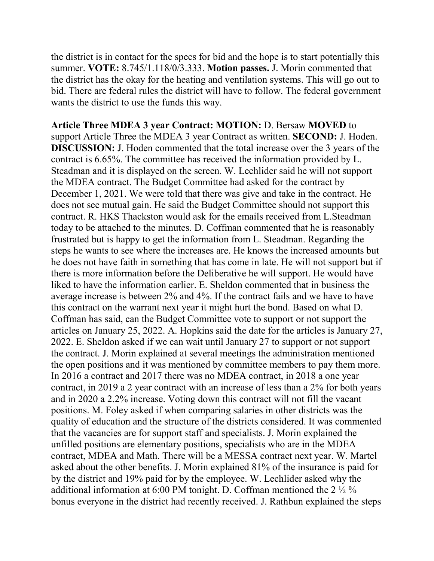the district is in contact for the specs for bid and the hope is to start potentially this summer. **VOTE:** 8.745/1.118/0/3.333. **Motion passes.** J. Morin commented that the district has the okay for the heating and ventilation systems. This will go out to bid. There are federal rules the district will have to follow. The federal government wants the district to use the funds this way.

**Article Three MDEA 3 year Contract: MOTION:** D. Bersaw **MOVED** to support Article Three the MDEA 3 year Contract as written. **SECOND:** J. Hoden. **DISCUSSION:** J. Hoden commented that the total increase over the 3 years of the contract is 6.65%. The committee has received the information provided by L. Steadman and it is displayed on the screen. W. Lechlider said he will not support the MDEA contract. The Budget Committee had asked for the contract by December 1, 2021. We were told that there was give and take in the contract. He does not see mutual gain. He said the Budget Committee should not support this contract. R. HKS Thackston would ask for the emails received from L.Steadman today to be attached to the minutes. D. Coffman commented that he is reasonably frustrated but is happy to get the information from L. Steadman. Regarding the steps he wants to see where the increases are. He knows the increased amounts but he does not have faith in something that has come in late. He will not support but if there is more information before the Deliberative he will support. He would have liked to have the information earlier. E. Sheldon commented that in business the average increase is between 2% and 4%. If the contract fails and we have to have this contract on the warrant next year it might hurt the bond. Based on what D. Coffman has said, can the Budget Committee vote to support or not support the articles on January 25, 2022. A. Hopkins said the date for the articles is January 27, 2022. E. Sheldon asked if we can wait until January 27 to support or not support the contract. J. Morin explained at several meetings the administration mentioned the open positions and it was mentioned by committee members to pay them more. In 2016 a contract and 2017 there was no MDEA contract, in 2018 a one year contract, in 2019 a 2 year contract with an increase of less than a 2% for both years and in 2020 a 2.2% increase. Voting down this contract will not fill the vacant positions. M. Foley asked if when comparing salaries in other districts was the quality of education and the structure of the districts considered. It was commented that the vacancies are for support staff and specialists. J. Morin explained the unfilled positions are elementary positions, specialists who are in the MDEA contract, MDEA and Math. There will be a MESSA contract next year. W. Martel asked about the other benefits. J. Morin explained 81% of the insurance is paid for by the district and 19% paid for by the employee. W. Lechlider asked why the additional information at 6:00 PM tonight. D. Coffman mentioned the 2  $\frac{1}{2}$ % bonus everyone in the district had recently received. J. Rathbun explained the steps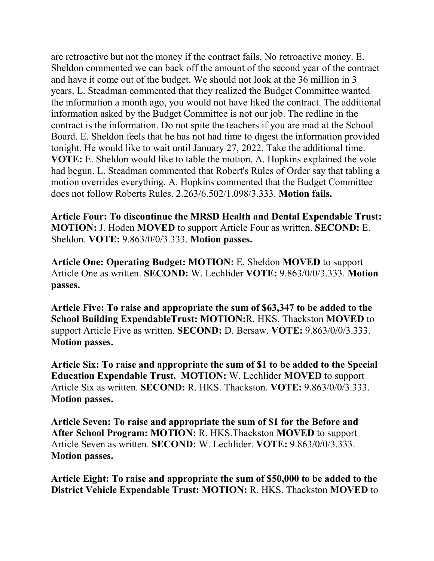are retroactive but not the money if the contract fails. No retroactive money. E. Sheldon commented we can back off the amount of the second year of the contract and have it come out of the budget. We should not look at the 36 million in 3 years. L. Steadman commented that they realized the Budget Committee wanted the information a month ago, you would not have liked the contract. The additional information asked by the Budget Committee is not our job. The redline in the contract is the information. Do not spite the teachers if you are mad at the School Board. E. Sheldon feels that he has not had time to digest the information provided tonight. He would like to wait until January 27, 2022. Take the additional time. **VOTE:** E. Sheldon would like to table the motion. A. Hopkins explained the vote had begun. L. Steadman commented that Robert's Rules of Order say that tabling a motion overrides everything. A. Hopkins commented that the Budget Committee does not follow Roberts Rules. 2.263/6.502/1.098/3.333. **Motion fails.** 

**Article Four: To discontinue the MRSD Health and Dental Expendable Trust: MOTION:** J. Hoden **MOVED** to support Article Four as written. **SECOND:** E. Sheldon. **VOTE:** 9.863/0/0/3.333. **Motion passes.** 

**Article One: Operating Budget: MOTION:** E. Sheldon **MOVED** to support Article One as written. **SECOND:** W. Lechlider **VOTE:** 9.863/0/0/3.333. **Motion passes.** 

**Article Five: To raise and appropriate the sum of \$63,347 to be added to the School Building ExpendableTrust: MOTION:**R. HKS. Thackston **MOVED** to support Article Five as written. **SECOND:** D. Bersaw. **VOTE:** 9.863/0/0/3.333. **Motion passes.** 

**Article Six: To raise and appropriate the sum of \$1 to be added to the Special Education Expendable Trust. MOTION:** W. Lechlider **MOVED** to support Article Six as written. **SECOND:** R. HKS. Thackston. **VOTE:** 9.863/0/0/3.333. **Motion passes.** 

**Article Seven: To raise and appropriate the sum of \$1 for the Before and After School Program: MOTION:** R. HKS.Thackston **MOVED** to support Article Seven as written. **SECOND:** W. Lechlider. **VOTE:** 9.863/0/0/3.333. **Motion passes.** 

**Article Eight: To raise and appropriate the sum of \$50,000 to be added to the District Vehicle Expendable Trust: MOTION:** R. HKS. Thackston **MOVED** to